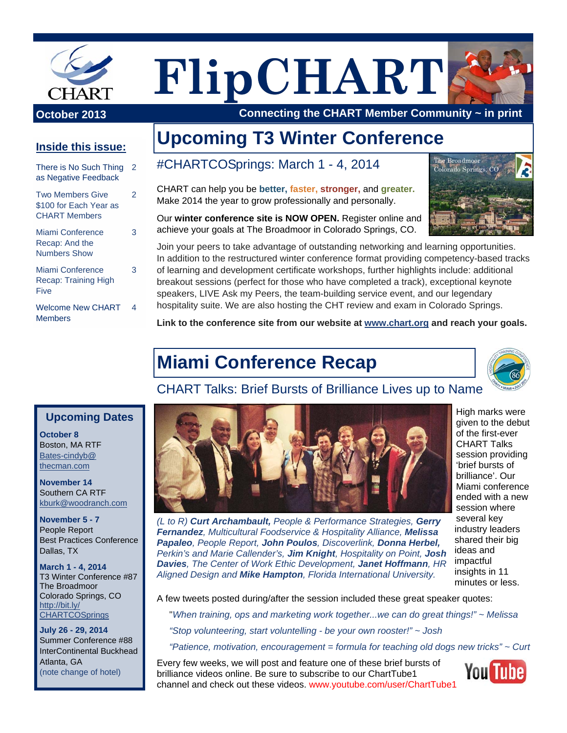

**FlipCHART**



**October 2013** Connecting the CHART Member Community ~ in print

### **Inside this issue:**

| There is No Such Thing<br>as Negative Feedback                            |   |  |  |  |
|---------------------------------------------------------------------------|---|--|--|--|
| <b>Two Members Give</b><br>\$100 for Each Year as<br><b>CHART Members</b> | 2 |  |  |  |
| Miami Conference<br>Recap: And the<br><b>Numbers Show</b>                 | 3 |  |  |  |
| Miami Conference<br>Recap: Training High<br>Five                          | 3 |  |  |  |
| <b>Welcome New CHART</b><br><b>Members</b>                                | 4 |  |  |  |

# **Upcoming T3 Winter Conference**

#CHARTCOSprings: March 1 - 4, 2014

CHART can help you be **better, faster, stronger,** and **greater.**  Make 2014 the year to grow professionally and personally.



Our **winter conference site is NOW OPEN.** Register online and achieve your goals at The Broadmoor in Colorado Springs, CO.

Join your peers to take advantage of outstanding networking and learning opportunities. In addition to the restructured winter conference format providing competency-based tracks of learning and development certificate workshops, further highlights include: additional breakout sessions (perfect for those who have completed a track), exceptional keynote speakers, LIVE Ask my Peers, the team-building service event, and our legendary hospitality suite. We are also hosting the CHT review and exam in Colorado Springs.

**Link to the conference site from our website at www.chart.org and reach your goals.**

# **Miami Conference Recap**



## CHART Talks: Brief Bursts of Brilliance Lives up to Name

#### **Upcoming Dates**

**October 8**  Boston, MA RTF Bates-cindyb@ thecman.com

**November 14**  Southern CA RTF kburk@woodranch.com

**November 5 - 7**  People Report Best Practices Conference Dallas, TX

**March 1 - 4, 2014**  T3 Winter Conference #87 The Broadmoor Colorado Springs, CO http://bit.ly/ **CHARTCOSprings** 

**July 26 - 29, 2014**  Summer Conference #88 InterContinental Buckhead Atlanta, GA (note change of hotel)



*(L to R) Curt Archambault, People & Performance Strategies, Gerry Fernandez, Multicultural Foodservice & Hospitality Alliance, Melissa Papaleo, People Report, John Poulos, Discoverlink, Donna Herbel, Perkin's and Marie Callender's, Jim Knight, Hospitality on Point, Josh Davies, The Center of Work Ethic Development, Janet Hoffmann, HR Aligned Design and Mike Hampton, Florida International University.* 

High marks were given to the debut of the first-ever CHART Talks session providing 'brief bursts of brilliance'. Our Miami conference ended with a new session where several key industry leaders shared their big ideas and impactful insights in 11 minutes or less.

A few tweets posted during/after the session included these great speaker quotes:

"*When training, ops and marketing work together...we can do great things!" ~ Melissa* 

*"Stop volunteering, start voluntelling - be your own rooster!" ~ Josh* 

*"Patience, motivation, encouragement = formula for teaching old dogs new tricks" ~ Curt* 

Every few weeks, we will post and feature one of these brief bursts of brilliance videos online. Be sure to subscribe to our ChartTube1 channel and check out these videos. www.youtube.com/user/ChartTube1

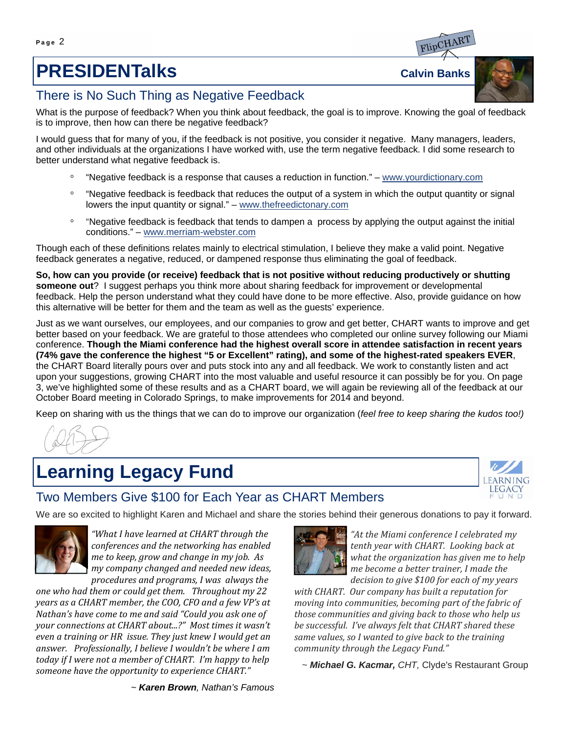# **PRESIDENTalks** Calvin Banks

## There is No Such Thing as Negative Feedback

What is the purpose of feedback? When you think about feedback, the goal is to improve. Knowing the goal of feedback is to improve, then how can there be negative feedback?

I would guess that for many of you, if the feedback is not positive, you consider it negative. Many managers, leaders, and other individuals at the organizations I have worked with, use the term negative feedback. I did some research to better understand what negative feedback is.

- √ "Negative feedback is a response that causes a reduction in function." www.yourdictionary.com
- √ "Negative feedback is feedback that reduces the output of a system in which the output quantity or signal lowers the input quantity or signal." – www.thefreedictonary.com
- √ "Negative feedback is feedback that tends to dampen a process by applying the output against the initial conditions." – www.merriam-webster.com

Though each of these definitions relates mainly to electrical stimulation, I believe they make a valid point. Negative feedback generates a negative, reduced, or dampened response thus eliminating the goal of feedback.

**So, how can you provide (or receive) feedback that is not positive without reducing productively or shutting someone out**? I suggest perhaps you think more about sharing feedback for improvement or developmental feedback. Help the person understand what they could have done to be more effective. Also, provide guidance on how this alternative will be better for them and the team as well as the guests' experience.

Just as we want ourselves, our employees, and our companies to grow and get better, CHART wants to improve and get better based on your feedback. We are grateful to those attendees who completed our online survey following our Miami conference. **Though the Miami conference had the highest overall score in attendee satisfaction in recent years (74% gave the conference the highest "5 or Excellent" rating), and some of the highest-rated speakers EVER**, the CHART Board literally pours over and puts stock into any and all feedback. We work to constantly listen and act upon your suggestions, growing CHART into the most valuable and useful resource it can possibly be for you. On page 3, we've highlighted some of these results and as a CHART board, we will again be reviewing all of the feedback at our October Board meeting in Colorado Springs, to make improvements for 2014 and beyond.

Keep on sharing with us the things that we can do to improve our organization (*feel free to keep sharing the kudos too!)*

## **Learning Legacy Fund**



### Two Members Give \$100 for Each Year as CHART Members

We are so excited to highlight Karen and Michael and share the stories behind their generous donations to pay it forward.



*"What I have learned at CHART through the conferences and the networking has enabled me to keep, grow and change in my job. As my company changed and needed new ideas, procedures and programs, I was always the*

*one who had them or could get them. Throughout my 22 years as a CHART member, the COO, CFO and a few VP's at Nathan's have come to me and said "Could you ask one of your connections at CHART about...?" Most times it wasn't even a training or HR issue. They just knew I would get an answer. Professionally, I believe I wouldn't be where I am today if I were not a member of CHART. I'm happy to help someone have the opportunity to experience CHART."*



*"At the Miami conference I celebrated my tenth year with CHART. Looking back at what the organization has given me to help me become a better trainer, I made the decision to give \$100 for each of my years*

*with CHART. Our company has built a reputation for moving into communities, becoming part of the fabric of those communities and giving back to those who help us be successful. I've always felt that CHART shared these same values, so I wanted to give back to the training community through the Legacy Fund."*

 *~ Michael G. Kacmar, CHT,* Clyde's Restaurant Group

 *~ Karen Brown, Nathan's Famous* 



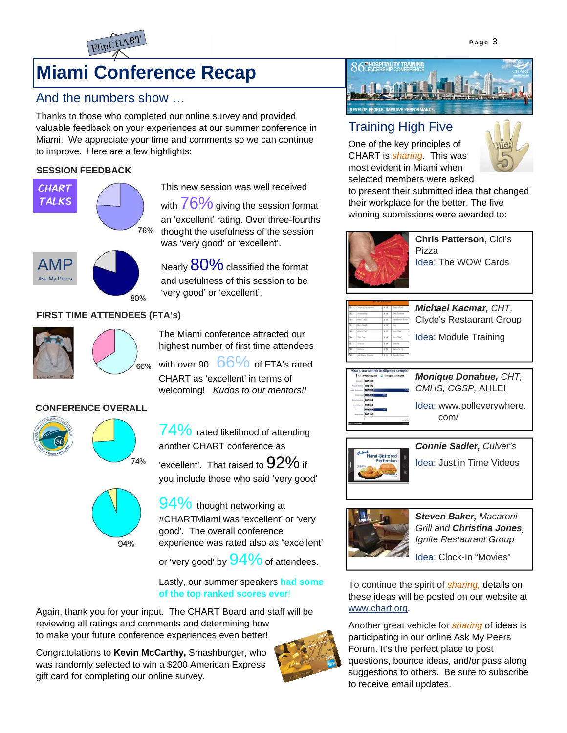

# **Miami Conference Recap**

### And the numbers show …

Thanks to those who completed our online survey and provided valuable feedback on your experiences at our summer conference in Miami. We appreciate your time and comments so we can continue to improve. Here are a few highlights:

#### **SESSION FEEDBACK**



This new session was well received with  $76\%$  giving the session format an 'excellent' rating. Over three-fourths thought the usefulness of the session was 'very good' or 'excellent'.

AMP Ask My Peers 80%

Nearly  $80\%$  classified the format and usefulness of this session to be 'very good' or 'excellent'.

### **FIRST TIME ATTENDEES (FTA's)**



The Miami conference attracted our highest number of first time attendees

with over 90.  $66\%$  of FTA's rated 66% CHART as 'excellent' in terms of welcoming! *Kudos to our mentors!!*

#### **CONFERENCE OVERALL**



 $74\%$  rated likelihood of attending another CHART conference as 'excellent'. That raised to  $92\%$  if



74%

you include those who said 'very good'

 $94\%$  thought networking at #CHARTMiami was 'excellent' or 'very good'. The overall conference experience was rated also as "excellent' or 'very good' by  $94\%$  of attendees.

Lastly, our summer speakers **had some of the top ranked scores ever**!

Again, thank you for your input. The CHART Board and staff will be reviewing all ratings and comments and determining how to make your future conference experiences even better!

Congratulations to **Kevin McCarthy,** Smashburger, who was randomly selected to win a \$200 American Express gift card for completing our online survey.





### Training High Five

One of the key principles of CHART is *sharing.* This was most evident in Miami when selected members were asked



to present their submitted idea that changed their workplace for the better. The five winning submissions were awarded to:



**Chris Patterson**, Cici's Pizza Idea: The WOW Cards

| 366<br>π<br>$\overline{11}$<br>Xv.            | <b>Van Dae</b><br><b>Collado</b><br><b>Tallanta</b><br>Chat Business Elling | Nin<br>ti in<br>Nm<br>Tun | New Day 1<br>Time Rd<br>Salva 5415<br>Show by Cross | Idea: Module Training                             |
|-----------------------------------------------|-----------------------------------------------------------------------------|---------------------------|-----------------------------------------------------|---------------------------------------------------|
|                                               | What is your Multiple Intelligences strength!<br>The LCODE to 22333         |                           |                                                     |                                                   |
| as Tone Spoken Ltd . CODE<br>705198<br>705199 |                                                                             |                           |                                                     | <b>Monique Donahue, CHT,</b><br>CMHS. CGSP. AHLEI |



*CMHS, CGSP,* AHLEI Idea: www.polleverywhere.

com/





*Steven Baker, Macaroni Grill and Christina Jones, Ignite Restaurant Group* 

Idea: Clock-In "Movies"

To continue the spirit of *sharing,* details on these ideas will be posted on our website at www.chart.org.

Another great vehicle for *sharing* of ideas is participating in our online Ask My Peers Forum. It's the perfect place to post questions, bounce ideas, and/or pass along suggestions to others. Be sure to subscribe to receive email updates.